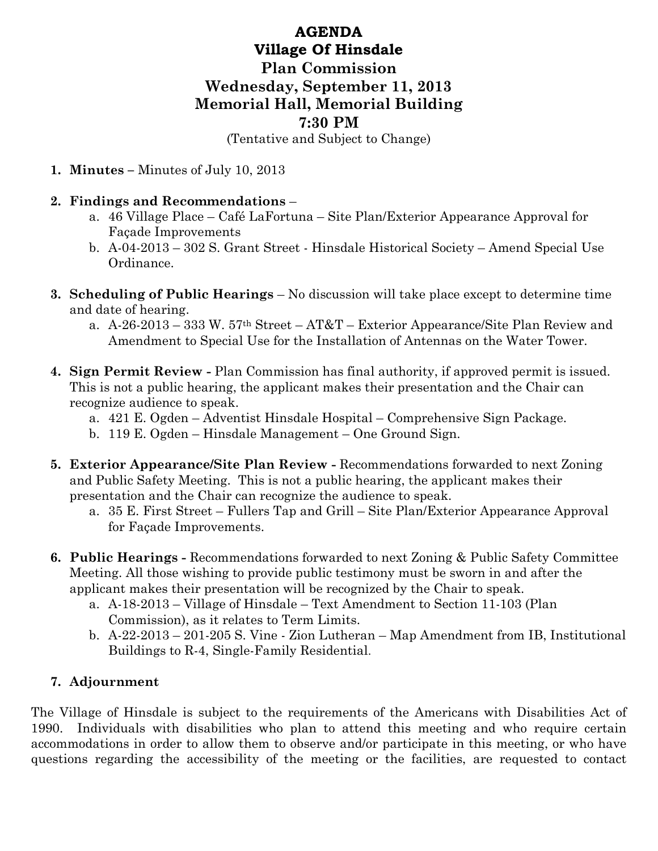## AGENDA Village Of Hinsdale Plan Commission Wednesday, September 11, 2013 Memorial Hall, Memorial Building 7:30 PM

(Tentative and Subject to Change)

1. Minutes – Minutes of July 10, 2013

## 2. Findings and Recommendations –

- a. 46 Village Place Café LaFortuna Site Plan/Exterior Appearance Approval for Façade Improvements
- b. A-04-2013 302 S. Grant Street Hinsdale Historical Society Amend Special Use Ordinance.
- 3. Scheduling of Public Hearings No discussion will take place except to determine time and date of hearing.
	- a. A-26-2013 333 W. 57th Street AT&T Exterior Appearance/Site Plan Review and Amendment to Special Use for the Installation of Antennas on the Water Tower.
- 4. Sign Permit Review Plan Commission has final authority, if approved permit is issued. This is not a public hearing, the applicant makes their presentation and the Chair can recognize audience to speak.
	- a. 421 E. Ogden Adventist Hinsdale Hospital Comprehensive Sign Package.
	- b. 119 E. Ogden Hinsdale Management One Ground Sign.
- 5. Exterior Appearance/Site Plan Review Recommendations forwarded to next Zoning and Public Safety Meeting. This is not a public hearing, the applicant makes their presentation and the Chair can recognize the audience to speak.
	- a. 35 E. First Street Fullers Tap and Grill Site Plan/Exterior Appearance Approval for Façade Improvements.
- 6. Public Hearings Recommendations forwarded to next Zoning & Public Safety Committee Meeting. All those wishing to provide public testimony must be sworn in and after the applicant makes their presentation will be recognized by the Chair to speak.
	- a. A-18-2013 Village of Hinsdale Text Amendment to Section 11-103 (Plan Commission), as it relates to Term Limits.
	- b. A-22-2013 201-205 S. Vine Zion Lutheran Map Amendment from IB, Institutional Buildings to R-4, Single-Family Residential.

## 7. Adjournment

The Village of Hinsdale is subject to the requirements of the Americans with Disabilities Act of 1990. Individuals with disabilities who plan to attend this meeting and who require certain accommodations in order to allow them to observe and/or participate in this meeting, or who have questions regarding the accessibility of the meeting or the facilities, are requested to contact